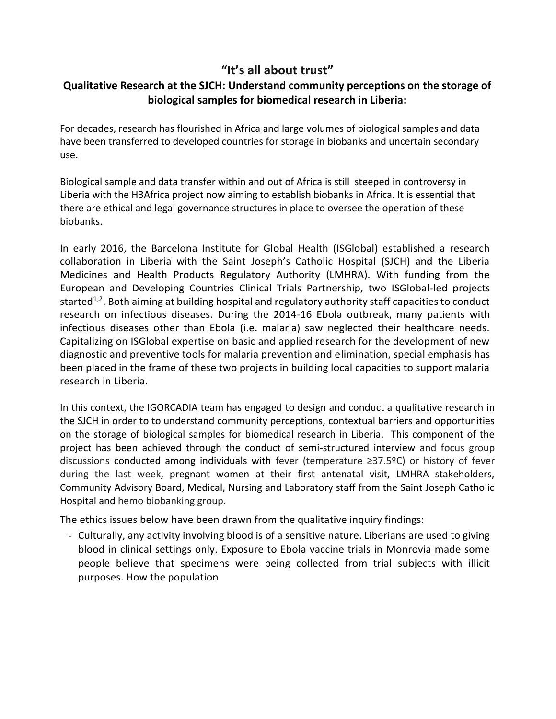#### **"It's all about trust"**

#### **Qualitative Research at the SJCH: Understand community perceptions on the storage of biological samples for biomedical research in Liberia:**

For decades, research has flourished in Africa and large volumes of biological samples and data have been transferred to developed countries for storage in biobanks and uncertain secondary use.

Biological sample and data transfer within and out of Africa is still steeped in controversy in Liberia with the H3Africa project now aiming to establish biobanks in Africa. It is essential that there are ethical and legal governance structures in place to oversee the operation of these biobanks.

In early 2016, the Barcelona Institute for Global Health (ISGlobal) established a research collaboration in Liberia with the Saint Joseph's Catholic Hospital (SJCH) and the Liberia Medicines and Health Products Regulatory Authority (LMHRA). With funding from the European and Developing Countries Clinical Trials Partnership, two ISGlobal-led projects started $1,2$ . Both aiming at building hospital and regulatory authority staff capacities to conduct research on infectious diseases. During the 2014-16 Ebola outbreak, many patients with infectious diseases other than Ebola (i.e. malaria) saw neglected their healthcare needs. Capitalizing on ISGlobal expertise on basic and applied research for the development of new diagnostic and preventive tools for malaria prevention and elimination, special emphasis has been placed in the frame of these two projects in building local capacities to support malaria research in Liberia.

In this context, the IGORCADIA team has engaged to design and conduct a qualitative research in the SJCH in order to to understand community perceptions, contextual barriers and opportunities on the storage of biological samples for biomedical research in Liberia. This component of the project has been achieved through the conduct of semi-structured interview and focus group discussions conducted among individuals with fever (temperature ≥37.5ºC) or history of fever during the last week, pregnant women at their first antenatal visit, LMHRA stakeholders, Community Advisory Board, Medical, Nursing and Laboratory staff from the Saint Joseph Catholic Hospital and hemo biobanking group.

The ethics issues below have been drawn from the qualitative inquiry findings:

- Culturally, any activity involving blood is of a sensitive nature. Liberians are used to giving blood in clinical settings only. Exposure to Ebola vaccine trials in Monrovia made some people believe that specimens were being collected from trial subjects with illicit purposes. How the population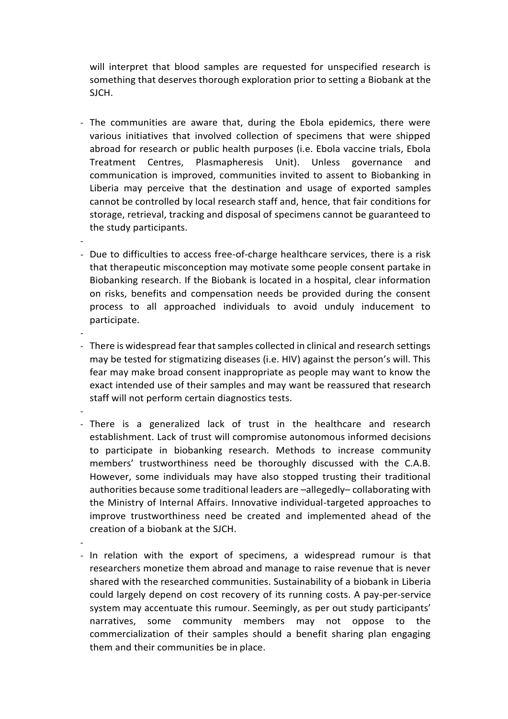will interpret that blood samples are requested for unspecified research is something that deserves thorough exploration prior to setting a Biobank at the SJCH.

- The communities are aware that, during the Ebola epidemics, there were various initiatives that involved collection of specimens that were shipped abroad for research or public health purposes (i.e. Ebola vaccine trials, Ebola Treatment Centres, Plasmapheresis Unit). Unless governance and communication is improved, communities invited to assent to Biobanking in Liberia may perceive that the destination and usage of exported samples cannot be controlled by local research staff and, hence, that fair conditions for storage, retrieval, tracking and disposal of specimens cannot be guaranteed to the study participants.
- Due to difficulties to access free-of-charge healthcare services, there is a risk that therapeutic misconception may motivate some people consent partake in Biobanking research. If the Biobank is located in a hospital, clear information on risks, benefits and compensation needs be provided during the consent process to all approached individuals to avoid unduly inducement to participate.
- - There is widespread fear that samples collected in clinical and research settings may be tested for stigmatizing diseases (i.e. HIV) against the person's will. This fear may make broad consent inappropriate as people may want to know the exact intended use of their samples and may want be reassured that research staff will not perform certain diagnostics tests.
	- - There is a generalized lack of trust in the healthcare and research establishment. Lack of trust will compromise autonomous informed decisions to participate in biobanking research. Methods to increase community members' trustworthiness need be thoroughly discussed with the C.A.B. However, some individuals may have also stopped trusting their traditional authorities because some traditional leaders are –allegedly– collaborating with the Ministry of Internal Affairs. Innovative individual-targeted approaches to improve trustworthiness need be created and implemented ahead of the creation of a biobank at the SJCH.
	- -

-

- In relation with the export of specimens, a widespread rumour is that researchers monetize them abroad and manage to raise revenue that is never shared with the researched communities. Sustainability of a biobank in Liberia could largely depend on cost recovery of its running costs. A pay-per-service system may accentuate this rumour. Seemingly, as per out study participants' narratives, some community members may not oppose to the commercialization of their samples should a benefit sharing plan engaging them and their communities be in place.